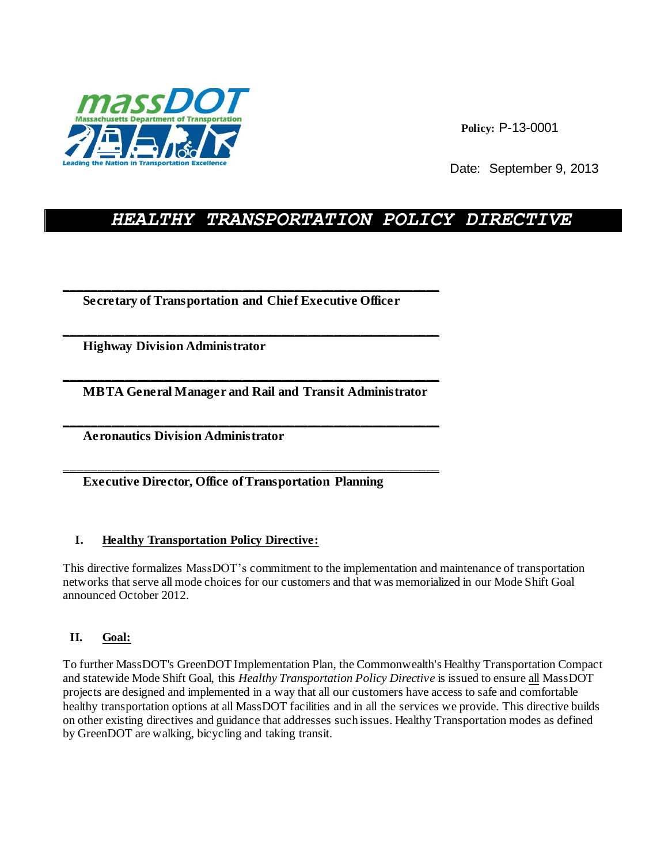

**Policy:** P-13-0001

Date: September 9, 2013

# *HEALTHY TRANSPORTATION POLICY DIRECTIVE*

 **Secretary of Transportation and Chief Executive Officer** 

\_\_\_\_\_\_\_\_\_\_\_\_\_\_\_\_\_\_\_\_\_\_\_\_\_\_\_\_\_\_\_\_\_\_\_\_\_\_\_\_\_\_\_\_\_\_\_\_\_\_\_\_\_\_\_\_\_

\_\_\_\_\_\_\_\_\_\_\_\_\_\_\_\_\_\_\_\_\_\_\_\_\_\_\_\_\_\_\_\_\_\_\_\_\_\_\_\_\_\_\_\_\_\_\_\_\_\_\_\_\_\_\_\_\_

 **Highway Division Administrator** 

\_\_\_\_\_\_\_\_\_\_\_\_\_\_\_\_\_\_\_\_\_\_\_\_\_\_\_\_\_\_\_\_\_\_\_\_\_\_\_\_\_\_\_\_\_\_\_\_\_\_\_\_\_\_\_\_\_  **MBTA General Manager and Rail and Transit Administrator** 

\_\_\_\_\_\_\_\_\_\_\_\_\_\_\_\_\_\_\_\_\_\_\_\_\_\_\_\_\_\_\_\_\_\_\_\_\_\_\_\_\_\_\_\_\_\_\_\_\_\_\_\_\_\_\_\_\_

\_\_\_\_\_\_\_\_\_\_\_\_\_\_\_\_\_\_\_\_\_\_\_\_\_\_\_\_\_\_\_\_\_\_\_\_\_\_\_\_\_\_\_\_\_\_\_\_\_\_\_\_\_\_\_\_\_

 **Aeronautics Division Administrator** 

 **Executive Director, Office of Transportation Planning** 

## **I. Healthy Transportation Policy Directive:**

This directive formalizes MassDOT's commitment to the implementation and maintenance of transportation networks that serve all mode choices for our customers and that was memorialized in our Mode Shift Goal announced October 2012.

# **II. Goal:**

To further MassDOT's GreenDOT Implementation Plan, the Commonwealth's Healthy Transportation Compact and statewide Mode Shift Goal, this *Healthy Transportation Policy Directive* is issued to ensure all MassDOT projects are designed and implemented in a way that all our customers have access to safe and comfortable healthy transportation options at all MassDOT facilities and in all the services we provide. This directive builds on other existing directives and guidance that addresses such issues. Healthy Transportation modes as defined by GreenDOT are walking, bicycling and taking transit.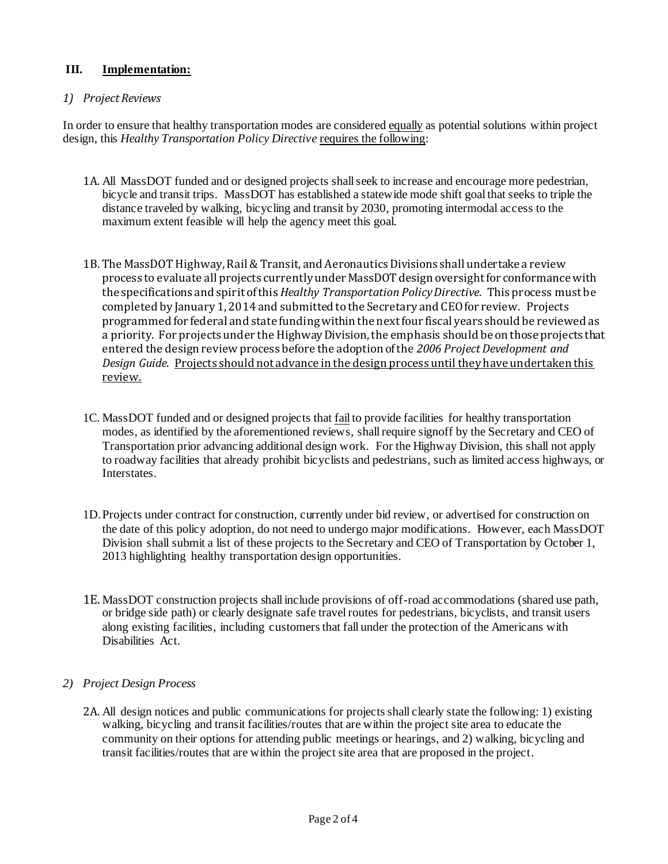## **III. Implementation:**

#### *1) Project Reviews*

In order to ensure that healthy transportation modes are considered equally as potential solutions within project design, this *Healthy Transportation Policy Directive* requires the following:

- 1A. All MassDOT funded and or designed projects shall seek to increase and encourage more pedestrian, bicycle and transit trips. MassDOT has established a statewide mode shift goal that seeks to triple the distance traveled by walking, bicycling and transit by 2030, promoting intermodal access to the maximum extent feasible will help the agency meet this goal.
- 1B. The MassDOT Highway, Rail & Transit, and Aeronautics Divisions shall undertake a review process to evaluate all projects currently under MassDOT design oversight for conformance with the specifications and spirit of this *Healthy Transportation Policy Directive*. This process must be completed by January 1, 2014 and submitted to the Secretary and CEO for review. Projects programmed for federal and state funding within the next four fiscal years should be reviewed as a priority. For projects under the Highway Division, the emphasis should be on those projects that entered the design review process before the adoption of the *2006 Project Development and Design Guide*. Projects should not advance in the design process until they have undertaken this review.
- 1C. MassDOT funded and or designed projects that <u>fail</u> to provide facilities for healthy transportation modes, as identified by the aforementioned reviews, shall require signoff by the Secretary and CEO of Transportation prior advancing additional design work. For the Highway Division, this shall not apply to roadway facilities that already prohibit bicyclists and pedestrians, such as limited access highways, or Interstates.
- 1D.Projects under contract for construction, currently under bid review, or advertised for construction on the date of this policy adoption, do not need to undergo major modifications. However, each MassDOT Division shall submit a list of these projects to the Secretary and CEO of Transportation by October 1, 2013 highlighting healthy transportation design opportunities.
- 1E.MassDOT construction projects shall include provisions of off-road accommodations (shared use path, or bridge side path) or clearly designate safe travel routes for pedestrians, bicyclists, and transit users along existing facilities, including customers that fall under the protection of the Americans with Disabilities Act.

#### *2) Project Design Process*

2A. All design notices and public communications for projects shall clearly state the following: 1) existing walking, bicycling and transit facilities/routes that are within the project site area to educate the community on their options for attending public meetings or hearings, and 2) walking, bicycling and transit facilities/routes that are within the project site area that are proposed in the project.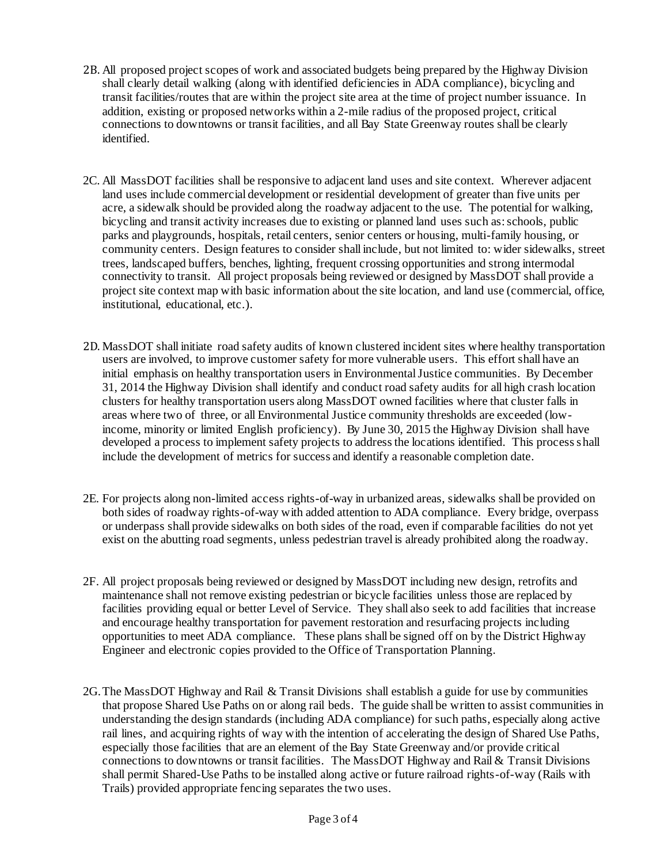- 2B. All proposed project scopes of work and associated budgets being prepared by the Highway Division shall clearly detail walking (along with identified deficiencies in ADA compliance), bicycling and transit facilities/routes that are within the project site area at the time of project number issuance. In addition, existing or proposed networks within a 2-mile radius of the proposed project, critical connections to downtowns or transit facilities, and all Bay State Greenway routes shall be clearly identified.
- 2C. All MassDOT facilities shall be responsive to adjacent land uses and site context. Wherever adjacent land uses include commercial development or residential development of greater than five units per acre, a sidewalk should be provided along the roadway adjacent to the use. The potential for walking, bicycling and transit activity increases due to existing or planned land uses such as: schools, public parks and playgrounds, hospitals, retail centers, senior centers or housing, multi-family housing, or community centers. Design features to consider shall include, but not limited to: wider sidewalks, street trees, landscaped buffers, benches, lighting, frequent crossing opportunities and strong intermodal connectivity to transit. All project proposals being reviewed or designed by MassDOT shall provide a project site context map with basic information about the site location, and land use (commercial, office, institutional, educational, etc.).
- 2D. MassDOT shall initiate road safety audits of known clustered incident sites where healthy transportation users are involved, to improve customer safety for more vulnerable users. This effort shall have an initial emphasis on healthy transportation users in Environmental Justice communities. By December 31, 2014 the Highway Division shall identify and conduct road safety audits for all high crash location clusters for healthy transportation users along MassDOT owned facilities where that cluster falls in areas where two of three, or all Environmental Justice community thresholds are exceeded (lowincome, minority or limited English proficiency). By June 30, 2015 the Highway Division shall have developed a process to implement safety projects to address the locations identified. This process shall include the development of metrics for success and identify a reasonable completion date.
- 2E. For projects along non-limited access rights-of-way in urbanized areas, sidewalks shall be provided on both sides of roadway rights-of-way with added attention to ADA compliance. Every bridge, overpass or underpass shall provide sidewalks on both sides of the road, even if comparable facilities do not yet exist on the abutting road segments, unless pedestrian travel is already prohibited along the roadway.
- 2F. All project proposals being reviewed or designed by MassDOT including new design, retrofits and maintenance shall not remove existing pedestrian or bicycle facilities unless those are replaced by facilities providing equal or better Level of Service. They shall also seek to add facilities that increase and encourage healthy transportation for pavement restoration and resurfacing projects including opportunities to meet ADA compliance. These plans shall be signed off on by the District Highway Engineer and electronic copies provided to the Office of Transportation Planning.
- 2G.The MassDOT Highway and Rail & Transit Divisions shall establish a guide for use by communities that propose Shared Use Paths on or along rail beds. The guide shall be written to assist communities in understanding the design standards (including ADA compliance) for such paths, especially along active rail lines, and acquiring rights of way with the intention of accelerating the design of Shared Use Paths, especially those facilities that are an element of the Bay State Greenway and/or provide critical connections to downtowns or transit facilities. The MassDOT Highway and Rail & Transit Divisions shall permit Shared-Use Paths to be installed along active or future railroad rights-of-way (Rails with Trails) provided appropriate fencing separates the two uses.